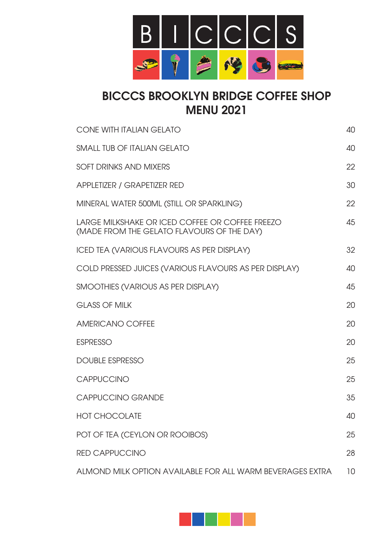

# BICCCS BROOKLYN BRIDGE COFFEE SHOP MENU 2021

| <b>CONE WITH ITALIAN GELATO</b>                                                               | 40 |
|-----------------------------------------------------------------------------------------------|----|
| <b>SMALL TUB OF ITALIAN GELATO</b>                                                            | 40 |
| <b>SOFT DRINKS AND MIXERS</b>                                                                 | 22 |
| APPLETIZER / GRAPETIZER RED                                                                   | 30 |
| MINERAL WATER 500ML (STILL OR SPARKLING)                                                      | 22 |
| LARGE MILKSHAKE OR ICED COFFEE OR COFFEE FREEZO<br>(MADE FROM THE GELATO FLAVOURS OF THE DAY) | 45 |
| <b>ICED TEA (VARIOUS FLAVOURS AS PER DISPLAY)</b>                                             | 32 |
| COLD PRESSED JUICES (VARIOUS FLAVOURS AS PER DISPLAY)                                         | 40 |
| SMOOTHIES (VARIOUS AS PER DISPLAY)                                                            | 45 |
| <b>GLASS OF MILK</b>                                                                          | 20 |
| <b>AMERICANO COFFEE</b>                                                                       | 20 |
| <b>ESPRESSO</b>                                                                               | 20 |
| <b>DOUBLE ESPRESSO</b>                                                                        | 25 |
| CAPPUCCINO                                                                                    | 25 |
| <b>CAPPUCCINO GRANDE</b>                                                                      | 35 |
| <b>HOT CHOCOLATE</b>                                                                          | 40 |
| POT OF TEA (CEYLON OR ROOIBOS)                                                                | 25 |
| <b>RED CAPPUCCINO</b>                                                                         | 28 |
| ALMOND MILK OPTION AVAILABLE FOR ALL WARM BEVERAGES EXTRA                                     | 10 |

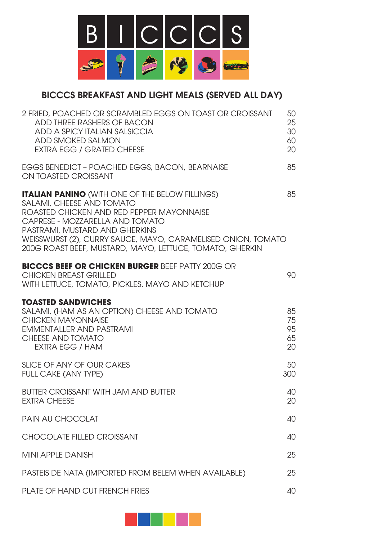

## BICCCS BREAKFAST AND LIGHT MEALS (SERVED ALL DAY)

| 2 FRIED, POACHED OR SCRAMBLED EGGS ON TOAST OR CROISSANT<br>ADD THREE RASHERS OF BACON<br>ADD A SPICY ITALIAN SALSICCIA<br>ADD SMOKED SALMON<br><b>EXTRA EGG / GRATED CHEESE</b>                                                                                                                                                  | 50<br>25<br>30<br>60<br>20 |
|-----------------------------------------------------------------------------------------------------------------------------------------------------------------------------------------------------------------------------------------------------------------------------------------------------------------------------------|----------------------------|
| EGGS BENEDICT - POACHED EGGS, BACON, BEARNAISE<br>ON TOASTED CROISSANT                                                                                                                                                                                                                                                            | 85                         |
| <b>ITALIAN PANINO (WITH ONE OF THE BELOW FILLINGS)</b><br>SALAMI, CHEESE AND TOMATO<br>ROASTED CHICKEN AND RED PEPPER MAYONNAISE<br>CAPRESE - MOZZARELLA AND TOMATO<br>PASTRAMI, MUSTARD AND GHERKINS<br>WEISSWURST (2), CURRY SAUCE, MAYO, CARAMELISED ONION, TOMATO<br>200G ROAST BEEF, MUSTARD, MAYO, LETTUCE, TOMATO, GHERKIN | 85                         |
| <b>BICCCS BEEF OR CHICKEN BURGER BEEF PATTY 200G OR</b><br><b>CHICKEN BREAST GRILLED</b><br>WITH LETTUCE, TOMATO, PICKLES, MAYO AND KETCHUP                                                                                                                                                                                       | 90                         |
| <b>TOASTED SANDWICHES</b><br>SALAMI, (HAM AS AN OPTION) CHEESE AND TOMATO<br><b>CHICKEN MAYONNAISE</b><br>EMMENTALLER AND PASTRAMI<br>CHEESE AND TOMATO<br>EXTRA EGG / HAM                                                                                                                                                        | 85<br>75<br>95<br>65<br>20 |
| SLICE OF ANY OF OUR CAKES<br><b>FULL CAKE (ANY TYPE)</b>                                                                                                                                                                                                                                                                          | 50<br>300                  |
| <b>BUTTER CROISSANT WITH JAM AND BUTTER</b><br><b>EXTRA CHEESE</b>                                                                                                                                                                                                                                                                | 40<br>20                   |
| PAIN AU CHOCOLAT                                                                                                                                                                                                                                                                                                                  | 40                         |
| <b>CHOCOLATE FILLED CROISSANT</b>                                                                                                                                                                                                                                                                                                 | 40                         |
| <b>MINI APPLE DANISH</b>                                                                                                                                                                                                                                                                                                          | 25                         |
| PASTEIS DE NATA (IMPORTED FROM BELEM WHEN AVAILABLE)                                                                                                                                                                                                                                                                              | 25                         |
| PLATE OF HAND CUT FRENCH FRIES                                                                                                                                                                                                                                                                                                    | 40                         |

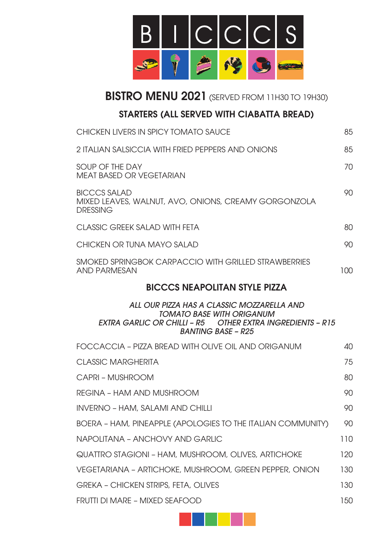

BISTRO MENU 2021 (SERVED FROM 11H30 TO 19H30)

## STARTERS (ALL SERVED WITH CIABATTA BREAD)

| CHICKEN LIVERS IN SPICY TOMATO SAUCE                                                                                                                                            | 85                              |
|---------------------------------------------------------------------------------------------------------------------------------------------------------------------------------|---------------------------------|
| 2 ITALIAN SALSICCIA WITH FRIED PEPPERS AND ONIONS                                                                                                                               | 85                              |
| SOUP OF THE DAY<br><b>MEAT BASED OR VEGETARIAN</b>                                                                                                                              | 70                              |
| <b>BICCCS SALAD</b><br>MIXED LEAVES, WALNUT, AVO, ONIONS, CREAMY GORGONZOLA<br><b>DRESSING</b>                                                                                  | 90                              |
| CLASSIC GREEK SALAD WITH FETA                                                                                                                                                   | 80                              |
| CHICKEN OR TUNA MAYO SALAD                                                                                                                                                      | 90                              |
| SMOKED SPRINGBOK CARPACCIO WITH GRILLED STRAWBERRIES<br><b>AND PARMESAN</b>                                                                                                     | 100                             |
| <b>BICCCS NEAPOLITAN STYLE PIZZA</b>                                                                                                                                            |                                 |
| ALL OUR PIZZA HAS A CLASSIC MOZZARELLA AND<br><b>TOMATO BASE WITH ORIGANUM</b><br><b>EXTRA GARLIC OR CHILLI - R5 OTHER EXTRA INGREDIENTS - R15</b><br><b>BANTING BASE - R25</b> |                                 |
| FOCCACCIA – PIZZA BREAD WITH OLIVE OIL AND ORIGANUM                                                                                                                             | 40                              |
| <b>CLASSIC MARGHERITA</b>                                                                                                                                                       | 75                              |
| CAPRI - MUSHROOM                                                                                                                                                                | 80                              |
| REGINA - HAM AND MUSHROOM                                                                                                                                                       | 90                              |
| <b>INVERNO - HAM, SALAMI AND CHILLI</b>                                                                                                                                         |                                 |
|                                                                                                                                                                                 | 90                              |
| BOERA - HAM, PINEAPPLE (APOLOGIES TO THE ITALIAN COMMUNITY)                                                                                                                     | 90                              |
| NAPOLITANA - ANCHOVY AND GARLIC                                                                                                                                                 |                                 |
| QUATTRO STAGIONI - HAM, MUSHROOM, OLIVES, ARTICHOKE                                                                                                                             |                                 |
| VEGETARIANA - ARTICHOKE, MUSHROOM, GREEN PEPPER, ONION                                                                                                                          |                                 |
| <b>GREKA - CHICKEN STRIPS, FETA, OLIVES</b>                                                                                                                                     |                                 |
| FRUTTI DI MARE - MIXED SEAFOOD                                                                                                                                                  | 110<br>120<br>130<br>130<br>150 |

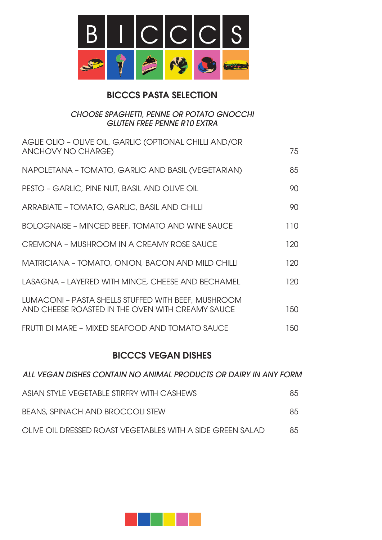

## BICCCS PASTA SELECTION

#### *CHOOSE SPAGHETTI, PENNE OR POTATO GNOCCHI GLUTEN FREE PENNE R10 EXTRA*

| AGLIE OLIO - OLIVE OIL, GARLIC (OPTIONAL CHILLI AND/OR<br>ANCHOVY NO CHARGE)                            | 75  |
|---------------------------------------------------------------------------------------------------------|-----|
| NAPOLETANA - TOMATO, GARLIC AND BASIL (VEGETARIAN)                                                      | 85  |
| PESTO – GARLIC, PINE NUT, BASIL AND OLIVE OIL                                                           | 90  |
| ARRABIATE - TOMATO, GARLIC, BASIL AND CHILLI                                                            | 90  |
| <b>BOLOGNAISE - MINCED BEEF, TOMATO AND WINE SAUCE</b>                                                  | 110 |
| CREMONA - MUSHROOM IN A CREAMY ROSE SAUCE                                                               | 120 |
| MATRICIANA - TOMATO, ONION, BACON AND MILD CHILLI                                                       | 120 |
| LASAGNA - LAYERED WITH MINCE, CHEESE AND BECHAMEL                                                       | 120 |
| LUMACONI - PASTA SHELLS STUFFED WITH BEEF, MUSHROOM<br>AND CHEESE ROASTED IN THE OVEN WITH CREAMY SAUCE | 150 |
| FRUTTI DI MARE - MIXED SEAFOOD AND TOMATO SAUCE                                                         | 150 |
|                                                                                                         |     |

## BICCCS VEGAN DISHES

| ALL VEGAN DISHES CONTAIN NO ANIMAL PRODUCTS OR DAIRY IN ANY FORM |     |
|------------------------------------------------------------------|-----|
| ASIAN STYLE VEGETABLE STIRFRY WITH CASHEWS                       | 85. |
| BEANS, SPINACH AND BROCCOLI STEW                                 | 85. |
| OLIVE OIL DRESSED ROAST VEGETABLES WITH A SIDE GREEN SALAD       | 85  |

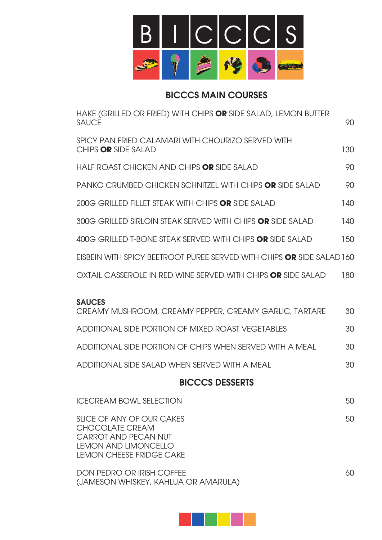

## BICCCS MAIN COURSES

| HAKE (GRILLED OR FRIED) WITH CHIPS OR SIDE SALAD, LEMON BUTTER<br><b>SAUCE</b>                                                                       | 90  |
|------------------------------------------------------------------------------------------------------------------------------------------------------|-----|
| SPICY PAN FRIED CALAMARI WITH CHOURIZO SERVED WITH<br>CHIPS OR SIDE SALAD                                                                            | 130 |
| HALF ROAST CHICKEN AND CHIPS OR SIDE SALAD                                                                                                           | 90  |
| PANKO CRUMBED CHICKEN SCHNITZEL WITH CHIPS OR SIDE SALAD                                                                                             | 90  |
| 200G GRILLED FILLET STEAK WITH CHIPS OR SIDE SALAD                                                                                                   | 140 |
| 300G GRILLED SIRLOIN STEAK SERVED WITH CHIPS OR SIDE SALAD                                                                                           | 140 |
| 400G GRILLED T-BONE STEAK SERVED WITH CHIPS OR SIDE SALAD                                                                                            | 150 |
| EISBEIN WITH SPICY BEETROOT PUREE SERVED WITH CHIPS <b>OR</b> SIDE SALAD 160                                                                         |     |
| OXTAIL CASSEROLE IN RED WINE SERVED WITH CHIPS <b>OR</b> SIDE SALAD                                                                                  | 180 |
| <b>SAUCES</b><br>CREAMY MUSHROOM, CREAMY PEPPER, CREAMY GARLIC, TARTARE                                                                              | 30  |
| ADDITIONAL SIDE PORTION OF MIXED ROAST VEGETABLES                                                                                                    | 30  |
| ADDITIONAL SIDE PORTION OF CHIPS WHEN SERVED WITH A MEAL                                                                                             | 30  |
| ADDITIONAL SIDE SALAD WHEN SERVED WITH A MEAL                                                                                                        | 30  |
| <b>BICCCS DESSERTS</b>                                                                                                                               |     |
| <b>ICECREAM BOWL SELECTION</b>                                                                                                                       | 50  |
| SLICE OF ANY OF OUR CAKES<br><b>CHOCOLATE CREAM</b><br><b>CARROT AND PECAN NUT</b><br><b>LEMON AND LIMONCELLO</b><br><b>LEMON CHEESE FRIDGE CAKE</b> | 50  |
| <b>DON PEDRO OR IRISH COFFEE</b><br>(JAMESON WHISKEY, KAHLUA OR AMARULA)                                                                             | 60  |

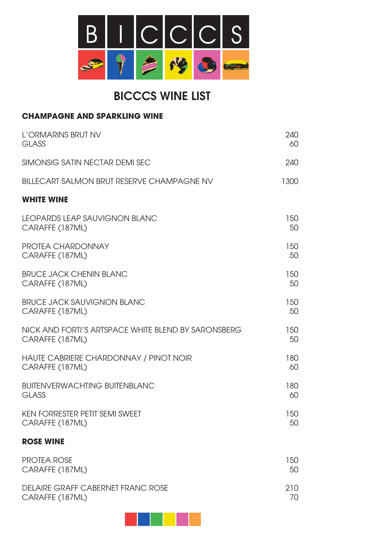

# BICCCS WINE LIST

### **CHAMPAGNE AND SPARKLING WINE**

| L'ORMARINS BRUT NV                                  | 240  |
|-----------------------------------------------------|------|
| <b>GLASS</b>                                        | 60   |
| SIMONSIG SATIN NECTAR DEMI SEC                      | 240  |
| <b>BILLECART SALMON BRUT RESERVE CHAMPAGNE NV</b>   | 1300 |
| <b>WHITE WINE</b>                                   |      |
| LEOPARDS LEAP SAUVIGNON BLANC                       | 150  |
| CARAFFE (187ML)                                     | 50   |
| <b>PROTEA CHARDONNAY</b>                            | 150  |
| CARAFFE (187ML)                                     | 50   |
| <b>BRUCE JACK CHENIN BLANC</b>                      | 150  |
| CARAFFE (187ML)                                     | 50   |
| <b>BRUCE JACK SAUVIGNON BLANC</b>                   | 150  |
| CARAFFE (187ML)                                     | 50   |
| NICK AND FORTI'S ARTSPACE WHITE BLEND BY SARONSBERG | 150  |
| CARAFFE (187ML)                                     | 50   |
| HAUTE CABRIERE CHARDONNAY / PINOT NOIR              | 180  |
| CARAFFE (187ML)                                     | 60   |
| <b>BUITENVERWACHTING BUITENBLANC</b>                | 180  |
| <b>GLASS</b>                                        | 60   |
| <b>KEN FORRESTER PETIT SEMI SWEET</b>               | 150  |
| CARAFFE (187ML)                                     | 50   |

### **ROSE WINE**

| <b>PROTEA ROSE</b>                | 150 |
|-----------------------------------|-----|
| CARAFFE (187ML)                   | 50  |
| DELAIRE GRAFF CABERNET FRANC ROSE | 210 |
| CARAFFE (187ML)                   | 70. |

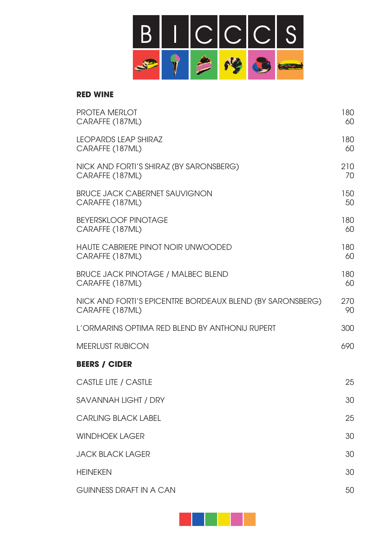

#### **RED WINE**

| <b>PROTEA MERLOT</b><br>CARAFFE (187ML)                                      | 180<br>60 |
|------------------------------------------------------------------------------|-----------|
| <b>LEOPARDS LEAP SHIRAZ</b><br>CARAFFE (187ML)                               | 180<br>60 |
| NICK AND FORTI'S SHIRAZ (BY SARONSBERG)<br>CARAFFE (187ML)                   | 210<br>70 |
| <b>BRUCE JACK CABERNET SAUVIGNON</b><br>CARAFFE (187ML)                      | 150<br>50 |
| <b>BEYERSKLOOF PINOTAGE</b><br>CARAFFE (187ML)                               | 180<br>60 |
| <b>HAUTE CABRIERE PINOT NOIR UNWOODED</b><br>CARAFFE (187ML)                 | 180<br>60 |
| <b>BRUCE JACK PINOTAGE / MALBEC BLEND</b><br>CARAFFE (187ML)                 | 180<br>60 |
| NICK AND FORTI'S EPICENTRE BORDEAUX BLEND (BY SARONSBERG)<br>CARAFFE (187ML) | 270<br>90 |
| L'ORMARINS OPTIMA RED BLEND BY ANTHONIJ RUPERT                               | 300       |
| <b>MEERLUST RUBICON</b>                                                      | 690       |
| <b>BEERS / CIDER</b>                                                         |           |
| <b>CASTLE LITE / CASTLE</b>                                                  | 25        |
| SAVANNAH LIGHT / DRY                                                         | 30        |
| <b>CARLING BLACK LABEL</b>                                                   | 25        |
| <b>WINDHOEK LAGER</b>                                                        | 30        |
| <b>JACK BLACK LAGER</b>                                                      | 30        |
| <b>HEINEKEN</b>                                                              | 30        |
| <b>GUINNESS DRAFT IN A CAN</b>                                               | 50        |

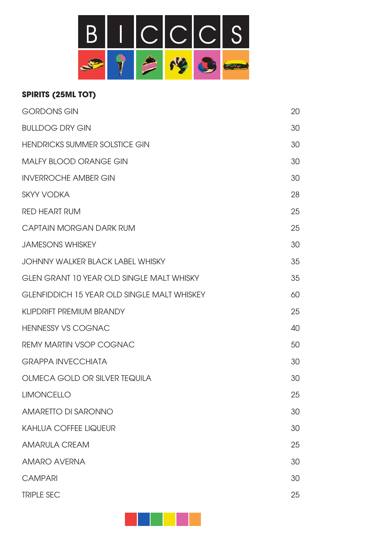

## **SPIRITS (25ML TOT)**

| <b>GORDONS GIN</b>                                 | 20 |
|----------------------------------------------------|----|
| <b>BULLDOG DRY GIN</b>                             | 30 |
| <b>HENDRICKS SUMMER SOLSTICE GIN</b>               | 30 |
| <b>MALFY BLOOD ORANGE GIN</b>                      | 30 |
| <b>INVERROCHE AMBER GIN</b>                        | 30 |
| <b>SKYY VODKA</b>                                  | 28 |
| <b>RED HEART RUM</b>                               | 25 |
| CAPTAIN MORGAN DARK RUM                            | 25 |
| <b>JAMESONS WHISKEY</b>                            | 30 |
| JOHNNY WALKER BLACK LABEL WHISKY                   | 35 |
| <b>GLEN GRANT 10 YEAR OLD SINGLE MALT WHISKY</b>   | 35 |
| <b>GLENFIDDICH 15 YEAR OLD SINGLE MALT WHISKEY</b> | 60 |
| <b>KLIPDRIFT PREMIUM BRANDY</b>                    | 25 |
| <b>HENNESSY VS COGNAC</b>                          | 40 |
| <b>REMY MARTIN VSOP COGNAC</b>                     | 50 |
| <b>GRAPPA INVECCHIATA</b>                          | 30 |
| OLMECA GOLD OR SILVER TEQUILA                      | 30 |
| <b>LIMONCELLO</b>                                  | 25 |
| AMARETTO DI SARONNO                                | 30 |
| <b>KAHLUA COFFEE LIQUEUR</b>                       | 30 |
| <b>AMARULA CREAM</b>                               | 25 |
| <b>AMARO AVERNA</b>                                | 30 |
| <b>CAMPARI</b>                                     | 30 |
| <b>TRIPLE SEC</b>                                  | 25 |